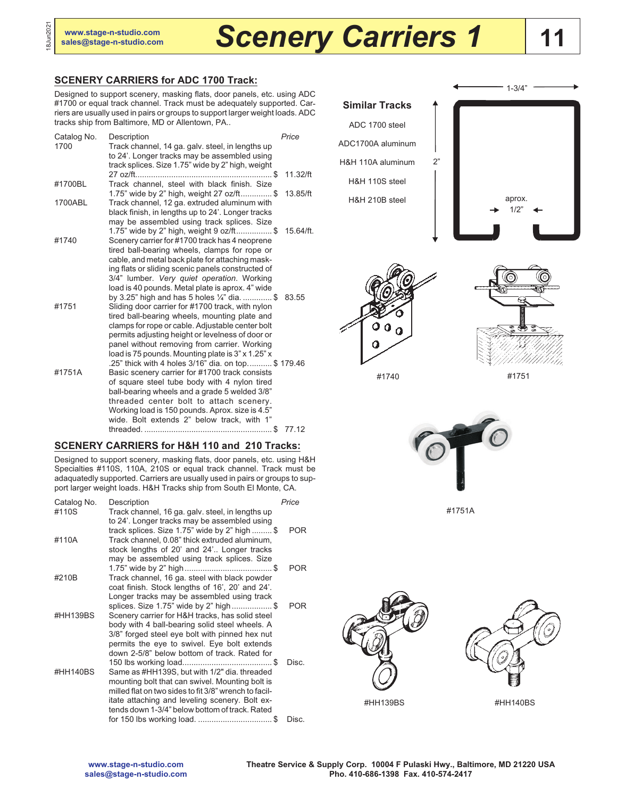18Jun2021

# **[sales@stage-n-studio.com](mailto:sales@stage-n-studio.com)** *Scenery Carriers 1*

## **11**

#### **SCENERY CARRIERS for ADC 1700 Track:**

Designed to support scenery, masking flats, door panels, etc. using ADC #1700 or equal track channel. Track must be adequately supported. Carriers are usually used in pairs or groups to support larger weight loads. ADC tracks ship from Baltimore, MD or Allentown, PA..

| Catalog No.<br>1700 | Description<br>Track channel, 14 ga. galv. steel, in lengths up<br>to 24'. Longer tracks may be assembled using<br>track splices. Size 1.75" wide by 2" high, weight                                                                                                                                                                              | Price        |
|---------------------|---------------------------------------------------------------------------------------------------------------------------------------------------------------------------------------------------------------------------------------------------------------------------------------------------------------------------------------------------|--------------|
|                     |                                                                                                                                                                                                                                                                                                                                                   | $11.32$ /ft  |
| #1700BL             | Track channel, steel with black finish. Size<br>1.75" wide by 2" high, weight 27 oz/ft\$                                                                                                                                                                                                                                                          | 13.85/ft     |
| 1700ABL             | Track channel, 12 ga. extruded aluminum with<br>black finish, in lengths up to 24'. Longer tracks<br>may be assembled using track splices. Size                                                                                                                                                                                                   |              |
| #1740               | 1.75" wide by 2" high, weight 9 oz/ft\$<br>Scenery carrier for #1700 track has 4 neoprene<br>tired ball-bearing wheels, clamps for rope or<br>cable, and metal back plate for attaching mask-                                                                                                                                                     | $15.64$ /ft. |
|                     | ing flats or sliding scenic panels constructed of<br>3/4" lumber. Very quiet operation. Working<br>load is 40 pounds. Metal plate is aprox. 4" wide<br>by 3.25" high and has 5 holes $\frac{1}{4}$ " dia. \$                                                                                                                                      | 83.55        |
| #1751               | Sliding door carrier for #1700 track, with nylon<br>tired ball-bearing wheels, mounting plate and<br>clamps for rope or cable. Adjustable center bolt<br>permits adjusting height or levelness of door or<br>panel without removing from carrier. Working<br>load is 75 pounds. Mounting plate is 3" x 1.25" x                                    |              |
| #1751A              | .25" thick with 4 holes 3/16" dia. on top\$ 179.46<br>Basic scenery carrier for #1700 track consists<br>of square steel tube body with 4 nylon tired<br>ball-bearing wheels and a grade 5 welded 3/8"<br>threaded center bolt to attach scenery.<br>Working load is 150 pounds. Aprox. size is 4.5"<br>wide. Bolt extends 2" below track, with 1" | 77.12        |

#### **SCENERY CARRIERS for H&H 110 and 210 Tracks:**

Designed to support scenery, masking flats, door panels, etc. using H&H Specialties #110S, 110A, 210S or equal track channel. Track must be adaquatedly supported. Carriers are usually used in pairs or groups to support larger weight loads. H&H Tracks ship from South El Monte, CA.

| Catalog No.    | Description                                                                                                                                                                                                                                                  | Price      |
|----------------|--------------------------------------------------------------------------------------------------------------------------------------------------------------------------------------------------------------------------------------------------------------|------------|
| #110S<br>#110A | Track channel, 16 ga. galv. steel, in lengths up<br>to 24'. Longer tracks may be assembled using<br>track splices. Size 1.75" wide by 2" high $\$<br>Track channel, 0.08" thick extruded aluminum,                                                           | POR.       |
| #210B          | stock lengths of 20' and 24' Longer tracks<br>may be assembled using track splices. Size<br>Track channel, 16 ga. steel with black powder                                                                                                                    | <b>POR</b> |
|                | coat finish. Stock lengths of 16', 20' and 24'.<br>Longer tracks may be assembled using track                                                                                                                                                                | POR.       |
| #HH139BS       | splices. Size 1.75" wide by 2" high\$<br>Scenery carrier for H&H tracks, has solid steel<br>body with 4 ball-bearing solid steel wheels. A<br>3/8" forged steel eye bolt with pinned hex nut                                                                 |            |
|                | permits the eye to swivel. Eye bolt extends<br>down 2-5/8" below bottom of track. Rated for                                                                                                                                                                  | Disc.      |
| #HH140BS       | Same as #HH139S, but with 1/2" dia. threaded<br>mounting bolt that can swivel. Mounting bolt is<br>milled flat on two sides to fit 3/8" wrench to facil-<br>itate attaching and leveling scenery. Bolt ex-<br>tends down 1-3/4" below bottom of track. Rated |            |
|                | for 150 lbs working load. \$                                                                                                                                                                                                                                 | Disc.      |









#1740

#1751



#1751A

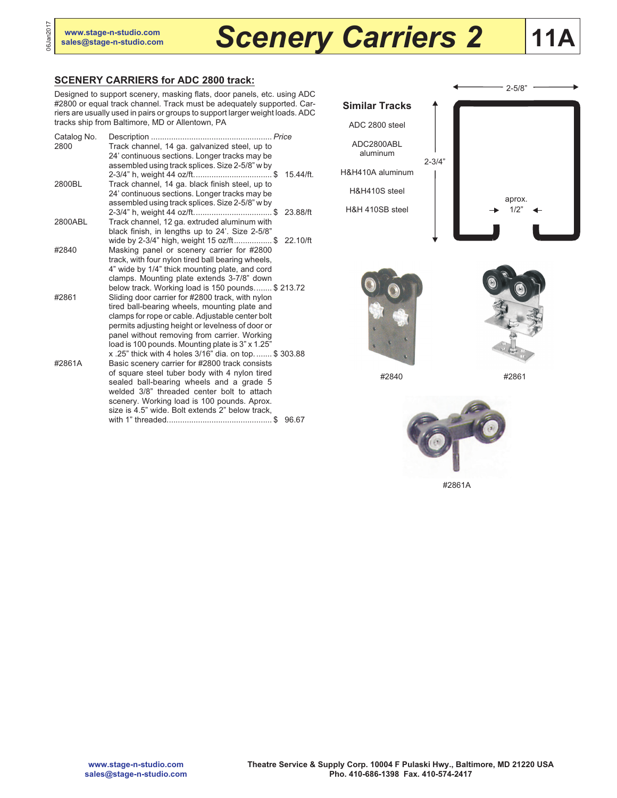06Jan2017

# **[sales@stage-n-studio.com](mailto:sales@stage-n-studio.com)** *Scenery Carriers 2*

## **11A**

### **SCENERY CARRIERS for ADC 2800 track:**

Designed to support scenery, masking flats, door panels, etc. using ADC #2800 or equal track channel. Track must be adequately supported. Carriers are usually used in pairs or groups to support larger weight loads. ADC tracks ship from Baltimore, MD or Allentown, PA

| Catalog No.<br>2800 | Track channel, 14 ga. galvanized steel, up to                                                        |           |
|---------------------|------------------------------------------------------------------------------------------------------|-----------|
|                     | 24' continuous sections. Longer tracks may be                                                        |           |
|                     | assembled using track splices. Size 2-5/8" w by                                                      |           |
|                     |                                                                                                      | 15.44/ft. |
| 2800BL              | Track channel, 14 ga. black finish steel, up to<br>24' continuous sections. Longer tracks may be     |           |
|                     | assembled using track splices. Size 2-5/8" w by                                                      |           |
|                     |                                                                                                      | 23.88/ft  |
| 2800ABL             | Track channel, 12 ga. extruded aluminum with                                                         |           |
|                     | black finish, in lengths up to 24'. Size 2-5/8"                                                      |           |
|                     | wide by 2-3/4" high, weight 15 oz/ft\$                                                               | 22.10/ft  |
| #2840               | Masking panel or scenery carrier for #2800<br>track, with four nylon tired ball bearing wheels,      |           |
|                     | 4" wide by 1/4" thick mounting plate, and cord                                                       |           |
|                     | clamps. Mounting plate extends 3-7/8" down                                                           |           |
|                     | below track. Working load is 150 pounds \$213.72                                                     |           |
| #2861               | Sliding door carrier for #2800 track, with nylon                                                     |           |
|                     | tired ball-bearing wheels, mounting plate and                                                        |           |
|                     | clamps for rope or cable. Adjustable center bolt<br>permits adjusting height or levelness of door or |           |
|                     | panel without removing from carrier. Working                                                         |           |
|                     | load is 100 pounds. Mounting plate is 3" x 1.25"                                                     |           |
|                     | x .25" thick with 4 holes 3/16" dia. on top \$ 303.88                                                |           |
| #2861A              | Basic scenery carrier for #2800 track consists                                                       |           |
|                     | of square steel tuber body with 4 nylon tired<br>sealed ball-bearing wheels and a grade 5            |           |
|                     | welded 3/8" threaded center bolt to attach                                                           |           |
|                     | scenery. Working load is 100 pounds. Aprox.                                                          |           |
|                     | size is 4.5" wide. Bolt extends 2" below track.                                                      |           |
|                     |                                                                                                      | 96.67     |







#2840 #2861



#2861A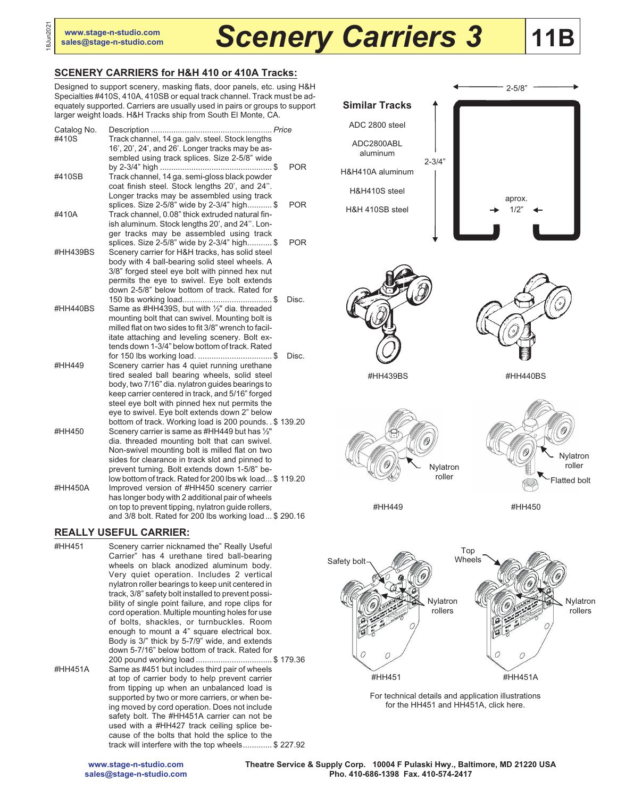# **[sales@stage-n-studio.com](mailto:sales@stage-n-studio.com)** *Scenery Carriers 3*

## **11B**

### **SCENERY CARRIERS for H&H 410 or 410A Tracks:**

Designed to support scenery, masking flats, door panels, etc. using H&H Specialties #410S, 410A, 410SB or equal track channel. Track must be adequately supported. Carriers are usually used in pairs or groups to support larger weight loads. H&H Tracks ship from South El Monte, CA.

| Catalog No.<br>#410S | Track channel, 14 ga. galv. steel. Stock lengths                                                                                                                                                                                                                                                                 |            |
|----------------------|------------------------------------------------------------------------------------------------------------------------------------------------------------------------------------------------------------------------------------------------------------------------------------------------------------------|------------|
| #410SB               | 16', 20', 24', and 26'. Longer tracks may be as-<br>sembled using track splices. Size 2-5/8" wide<br>Track channel, 14 ga. semi-gloss black powder                                                                                                                                                               | <b>POR</b> |
|                      | coat finish steel. Stock lengths 20', and 24".<br>Longer tracks may be assembled using track<br>splices. Size 2-5/8" wide by 2-3/4" high \$                                                                                                                                                                      | <b>POR</b> |
| #410A                | Track channel, 0.08" thick extruded natural fin-<br>ish aluminum. Stock lengths 20', and 24". Lon-<br>ger tracks may be assembled using track                                                                                                                                                                    |            |
| #HH439BS             | splices. Size 2-5/8" wide by 2-3/4" high \$<br>Scenery carrier for H&H tracks, has solid steel<br>body with 4 ball-bearing solid steel wheels. A<br>3/8" forged steel eye bolt with pinned hex nut<br>permits the eye to swivel. Eye bolt extends                                                                | <b>POR</b> |
|                      | down 2-5/8" below bottom of track. Rated for                                                                                                                                                                                                                                                                     | Disc.      |
| #HH440BS             | Same as #HH439S, but with 1/2" dia. threaded<br>mounting bolt that can swivel. Mounting bolt is<br>milled flat on two sides to fit 3/8" wrench to facil-<br>itate attaching and leveling scenery. Bolt ex-<br>tends down 1-3/4" below bottom of track. Rated                                                     |            |
| #HH449               | Scenery carrier has 4 quiet running urethane<br>tired sealed ball bearing wheels, solid steel<br>body, two 7/16" dia. nylatron quides bearings to<br>keep carrier centered in track, and 5/16" forged<br>steel eye bolt with pinned hex nut permits the<br>eye to swivel. Eye bolt extends down 2" below         | Disc.      |
| #HH450               | bottom of track. Working load is 200 pounds. . \$ 139.20<br>Scenery carrier is same as #HH449 but has 1/2"<br>dia. threaded mounting bolt that can swivel.<br>Non-swivel mounting bolt is milled flat on two<br>sides for clearance in track slot and pinned to<br>prevent turning. Bolt extends down 1-5/8" be- |            |
| #HH450A              | low bottom of track. Rated for 200 lbs wk load \$119.20<br>Improved version of #HH450 scenery carrier<br>has longer body with 2 additional pair of wheels<br>on top to prevent tipping, nylatron guide rollers,<br>and 3/8 bolt. Rated for 200 lbs working load \$290.16                                         |            |

#### **REALLY USEFUL CARRIER:**

#HH451 Scenery carrier nicknamed the" Really Useful Carrier" has 4 urethane tired ball-bearing wheels on black anodized aluminum body. Very quiet operation. Includes 2 vertical nylatron roller bearings to keep unit centered in track, 3/8" safety bolt installed to prevent possibility of single point failure, and rope clips for cord operation. Multiple mounting holes for use of bolts, shackles, or turnbuckles. Room enough to mount a 4" square electrical box. Body is 3/" thick by 5-7/9" wide, and extends down 5-7/16" below bottom of track. Rated for 200 pound working load .................................. \$ 179.36 #HH451A Same as #451 but includes third pair of wheels at top of carrier body to help prevent carrier from tipping up when an unbalanced load is supported by two or more carriers, or when being moved by cord operation. Does not include safety bolt. The #HH451A carrier can not be used with a #HH427 track ceiling splice because of the bolts that hold the splice to the track will interfere with the top wheels............. \$ 227.92







#HH439BS #HH440BS



Nylatron roller Flatted bolt

#HH449

#HH450



For technical details and application illustrations for the HH451 and HH451A, click here.

**Theatre Service & Supply Corp. 10004 F Pulaski Hwy., Baltimore, MD 21220 USA Pho. 410-686-1398 Fax. 410-574-2417**